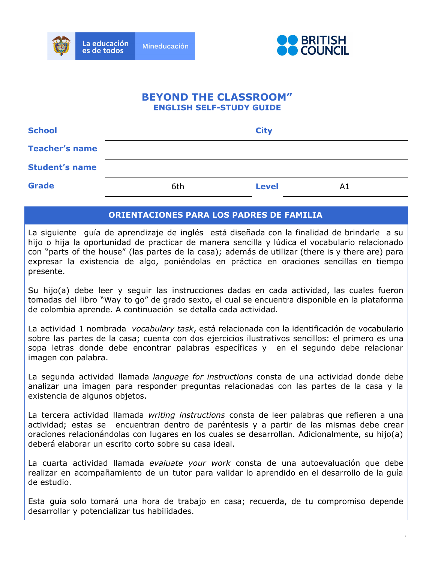



# **BEYOND THE CLASSROOM" ENGLISH SELF-STUDY GUIDE**

| <b>School</b>         | <b>City</b> |              |    |
|-----------------------|-------------|--------------|----|
| <b>Teacher's name</b> |             |              |    |
| <b>Student's name</b> |             |              |    |
| <b>Grade</b>          | 6th         | <b>Level</b> | A1 |

#### **ORIENTACIONES PARA LOS PADRES DE FAMILIA**

La siguiente guía de aprendizaje de inglés está diseñada con la finalidad de brindarle a su hijo o hija la oportunidad de practicar de manera sencilla y lúdica el vocabulario relacionado con "parts of the house" (las partes de la casa); además de utilizar (there is y there are) para expresar la existencia de algo, poniéndolas en práctica en oraciones sencillas en tiempo presente.

Su hijo(a) debe leer y seguir las instrucciones dadas en cada actividad, las cuales fueron tomadas del libro "Way to go" de grado sexto, el cual se encuentra disponible en la plataforma de colombia aprende. A continuación se detalla cada actividad.

La actividad 1 nombrada *vocabulary task*, está relacionada con la identificación de vocabulario sobre las partes de la casa; cuenta con dos ejercicios ilustrativos sencillos: el primero es una sopa letras donde debe encontrar palabras específicas y en el segundo debe relacionar imagen con palabra.

La segunda actividad llamada *language for instructions* consta de una actividad donde debe analizar una imagen para responder preguntas relacionadas con las partes de la casa y la existencia de algunos objetos.

La tercera actividad llamada *writing instructions* consta de leer palabras que refieren a una actividad; estas se encuentran dentro de paréntesis y a partir de las mismas debe crear oraciones relacionándolas con lugares en los cuales se desarrollan. Adicionalmente, su hijo(a) deberá elaborar un escrito corto sobre su casa ideal.

La cuarta actividad llamada *evaluate your work* consta de una autoevaluación que debe realizar en acompañamiento de un tutor para validar lo aprendido en el desarrollo de la guía de estudio.

Esta guía solo tomará una hora de trabajo en casa; recuerda, de tu compromiso depende desarrollar y potencializar tus habilidades.

1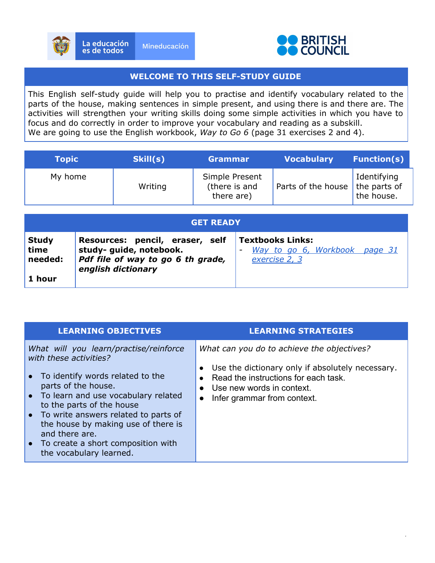



#### **WELCOME TO THIS SELF-STUDY GUIDE**

This English self-study guide will help you to practise and identify vocabulary related to the parts of the house, making sentences in simple present, and using there is and there are. The activities will strengthen your writing skills doing some simple activities in which you have to focus and do correctly in order to improve your vocabulary and reading as a subskill. We are going to use the English workbook, *Way to Go 6* (page 31 exercises 2 and 4).

| <b>Topic</b> | Skill(s) | <b>Grammar</b>                                | <b>Vocabulary</b>                 | <b>Function(s)</b>        |
|--------------|----------|-----------------------------------------------|-----------------------------------|---------------------------|
| My home      | Writing  | Simple Present<br>(there is and<br>there are) | Parts of the house   the parts of | Identifying<br>the house. |

| <b>GET READY</b> |                                   |                         |  |
|------------------|-----------------------------------|-------------------------|--|
| <b>Study</b>     | Resources: pencil, eraser, self   | <b>Textbooks Links:</b> |  |
| time             | study- guide, notebook.           | Way to go 6, Workbook   |  |
| needed:          | Pdf file of way to go 6 th grade, | page 31                 |  |
| 1 hour           | english dictionary                | exercise 2, 3           |  |

| <b>LEARNING OBJECTIVES</b>                                                                                                                                                                                                                                                                                                                                                | <b>LEARNING STRATEGIES</b>                                                                                                                                                                                      |
|---------------------------------------------------------------------------------------------------------------------------------------------------------------------------------------------------------------------------------------------------------------------------------------------------------------------------------------------------------------------------|-----------------------------------------------------------------------------------------------------------------------------------------------------------------------------------------------------------------|
| What will you learn/practise/reinforce<br>with these activities?<br>• To identify words related to the<br>parts of the house.<br>• To learn and use vocabulary related<br>to the parts of the house<br>• To write answers related to parts of<br>the house by making use of there is<br>and there are.<br>• To create a short composition with<br>the vocabulary learned. | What can you do to achieve the objectives?<br>Use the dictionary only if absolutely necessary.<br>Read the instructions for each task.<br>Use new words in context.<br>Infer grammar from context.<br>$\bullet$ |
|                                                                                                                                                                                                                                                                                                                                                                           |                                                                                                                                                                                                                 |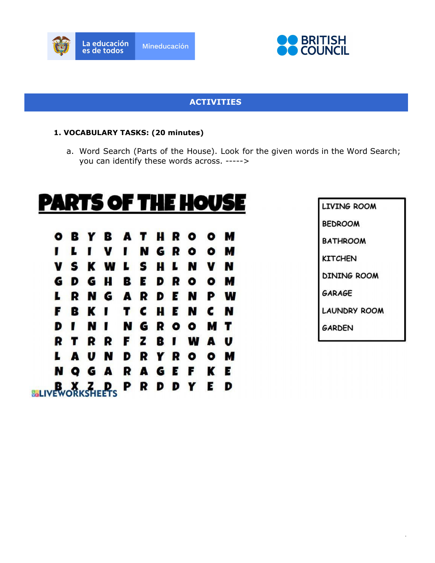



## **ACTIVITIES**

#### **1. VOCABULARY TASKS: (20 minutes)**

a. Word Search (Parts of the House). Look for the given words in the Word Search; you can identify these words across. ----->

# PARTS OF THE HOUSE

B H R  $\bullet$  $\bullet$ М O в Y A т N G R М L v П  $\bullet$  $\bullet$ S S ĸ W н N V г  $\mathbf{L}$ N V G H E R G D B D  $\bullet$ ۰ М R N G A R E N P W ш D B ĸ c H E c N ı Т N F N П G R М , N т Ð  $\bullet$  $\bullet$ z U R R B W R Т F п A N R М U R O A D Y  $\bullet$ K G A R A G Е F Е N O **BLIVEWORKSHEETS** R E D Р D D Y

LIVING ROOM **BEDROOM BATHROOM KITCHEN DINING ROOM GARAGE LAUNDRY ROOM GARDEN** 

3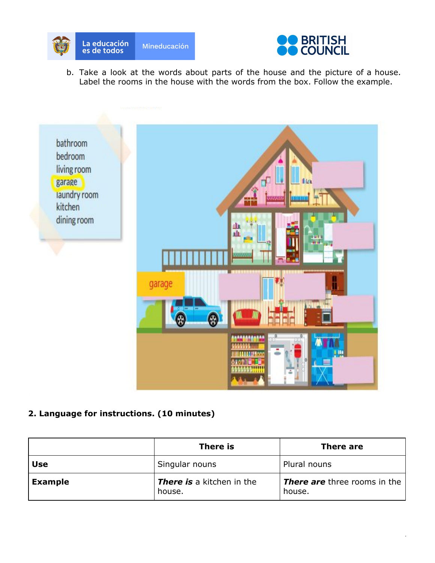



b. Take a look at the words about parts of the house and the picture of a house. Label the rooms in the house with the words from the box. Follow the example.



## **2. Language for instructions. (10 minutes)**

|                | There is                                   | There are                                     |
|----------------|--------------------------------------------|-----------------------------------------------|
| <b>Use</b>     | Singular nouns                             | Plural nouns                                  |
| <b>Example</b> | <b>There is</b> a kitchen in the<br>house. | <b>There are</b> three rooms in the<br>house. |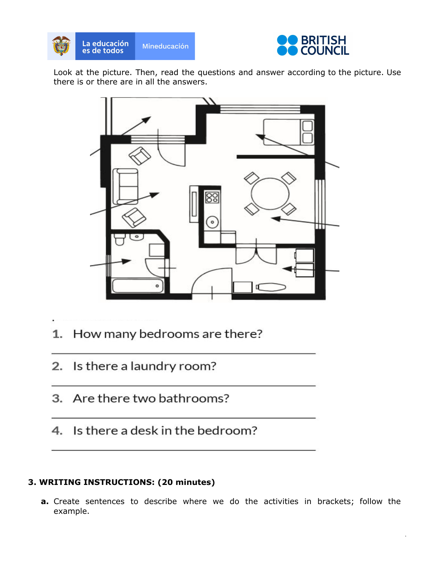



Look at the picture. Then, read the questions and answer according to the picture. Use there is or there are in all the answers.



- How many bedrooms are there?  $1.$
- 2. Is there a laundry room?
- 3. Are there two bathrooms?
- 4. Is there a desk in the bedroom?

# **3. WRITING INSTRUCTIONS: (20 minutes)**

**a.** Create sentences to describe where we do the activities in brackets; follow the example.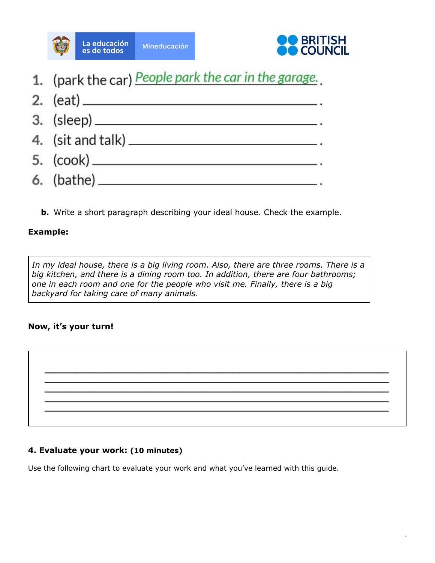



1. (park the car) People park the car in the garage.



**b.** Write a short paragraph describing your ideal house. Check the example.

## **Example:**

*In my ideal house, there is a big living room. Also, there are three rooms. There is a big kitchen, and there is a dining room too. In addition, there are four bathrooms; one in each room and one for the people who visit me. Finally, there is a big backyard for taking care of many animals*.

## **Now, it's your turn!**



#### **4. Evaluate your work: (10 minutes)**

Use the following chart to evaluate your work and what you've learned with this guide.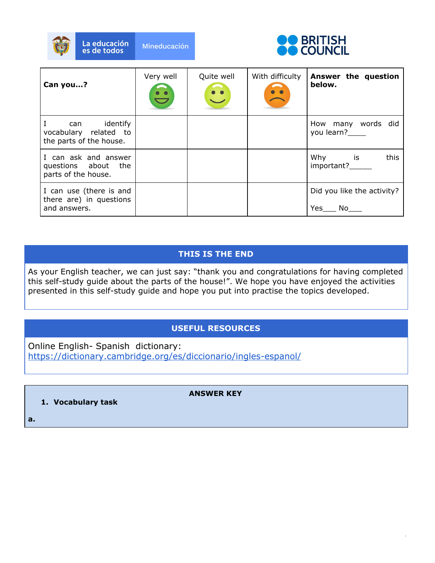



| Can you?                                                            | Very well | Quite well<br>$\ddot{\cdot}$ | With difficulty | Answer the question<br>below.                                                                                                               |
|---------------------------------------------------------------------|-----------|------------------------------|-----------------|---------------------------------------------------------------------------------------------------------------------------------------------|
| identify<br>can<br>vocabulary related to<br>the parts of the house. |           |                              |                 | How many words did<br>you learn?                                                                                                            |
| I can ask and answer<br>questions about the<br>parts of the house.  |           |                              |                 | is is the set of the set of the set of the set of the set of the set of the set of the set of the set of the s<br>Why<br>this<br>important? |
| I can use (there is and<br>there are) in questions<br>and answers.  |           |                              |                 | Did you like the activity?<br>Yes<br>No.                                                                                                    |

# **THIS IS THE END**

As your English teacher, we can just say: "thank you and congratulations for having completed this self-study guide about the parts of the house!". We hope you have enjoyed the activities presented in this self-study guide and hope you put into practise the topics developed.

# **USEFUL RESOURCES**

Online English- Spanish dictionary: <https://dictionary.cambridge.org/es/diccionario/ingles-espanol/>

**ANSWER KEY**

**1. Vocabulary task**

**a.**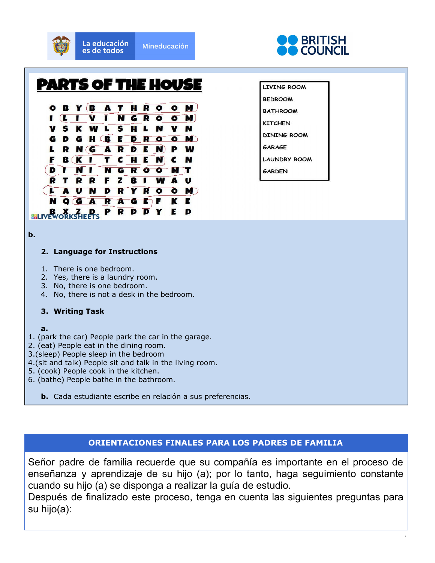

**b.**

#### **2. Language for Instructions**

- 1. There is one bedroom.
- 2. Yes, there is a laundry room.
- 3. No, there is one bedroom.
- 4. No, there is not a desk in the bedroom.

#### **3. Writing Task**

- **a.**
- 1. (park the car) People park the car in the garage.
- 2. (eat) People eat in the dining room.
- 3.(sleep) People sleep in the bedroom
- 4.(sit and talk) People sit and talk in the living room.
- 5. (cook) People cook in the kitchen.
- 6. (bathe) People bathe in the bathroom.
	- **b.** Cada estudiante escribe en relación a sus preferencias.

#### **ORIENTACIONES FINALES PARA LOS PADRES DE FAMILIA**

Señor padre de familia recuerde que su compañía es importante en el proceso de enseñanza y aprendizaje de su hijo (a); por lo tanto, haga seguimiento constante cuando su hijo (a) se disponga a realizar la guía de estudio.

Después de finalizado este proceso, tenga en cuenta las siguientes preguntas para su hijo(a):

8